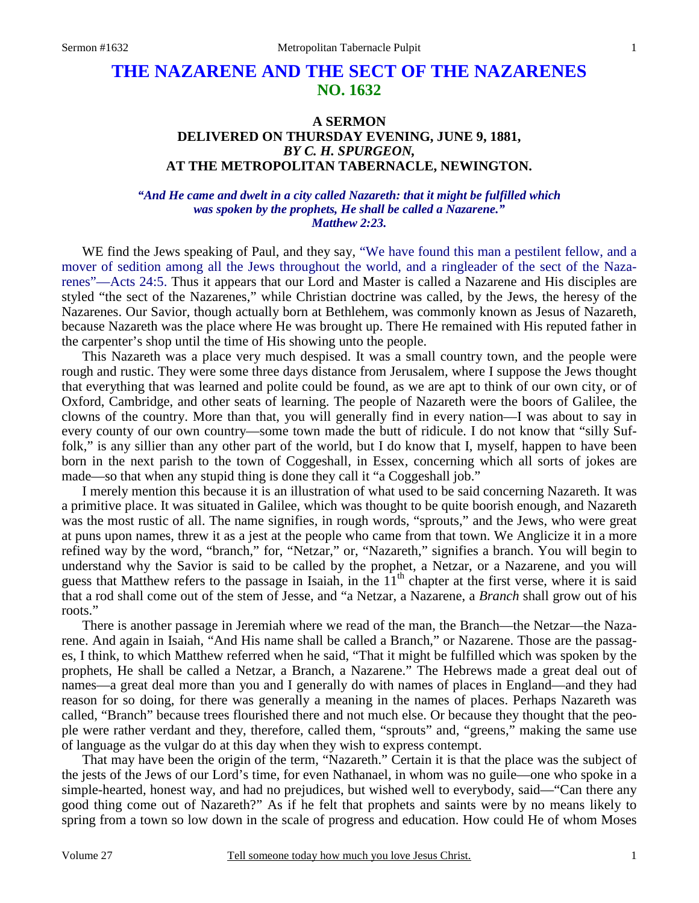# **THE NAZARENE AND THE SECT OF THE NAZARENES NO. 1632**

## **A SERMON DELIVERED ON THURSDAY EVENING, JUNE 9, 1881,**  *BY C. H. SPURGEON,*  **AT THE METROPOLITAN TABERNACLE, NEWINGTON.**

#### *"And He came and dwelt in a city called Nazareth: that it might be fulfilled which was spoken by the prophets, He shall be called a Nazarene." Matthew 2:23.*

WE find the Jews speaking of Paul, and they say, "We have found this man a pestilent fellow, and a mover of sedition among all the Jews throughout the world, and a ringleader of the sect of the Nazarenes"—Acts 24:5. Thus it appears that our Lord and Master is called a Nazarene and His disciples are styled "the sect of the Nazarenes," while Christian doctrine was called, by the Jews, the heresy of the Nazarenes. Our Savior, though actually born at Bethlehem, was commonly known as Jesus of Nazareth, because Nazareth was the place where He was brought up. There He remained with His reputed father in the carpenter's shop until the time of His showing unto the people.

 This Nazareth was a place very much despised. It was a small country town, and the people were rough and rustic. They were some three days distance from Jerusalem, where I suppose the Jews thought that everything that was learned and polite could be found, as we are apt to think of our own city, or of Oxford, Cambridge, and other seats of learning. The people of Nazareth were the boors of Galilee, the clowns of the country. More than that, you will generally find in every nation—I was about to say in every county of our own country—some town made the butt of ridicule. I do not know that "silly Suffolk," is any sillier than any other part of the world, but I do know that I, myself, happen to have been born in the next parish to the town of Coggeshall, in Essex, concerning which all sorts of jokes are made—so that when any stupid thing is done they call it "a Coggeshall job."

 I merely mention this because it is an illustration of what used to be said concerning Nazareth. It was a primitive place. It was situated in Galilee, which was thought to be quite boorish enough, and Nazareth was the most rustic of all. The name signifies, in rough words, "sprouts," and the Jews, who were great at puns upon names, threw it as a jest at the people who came from that town. We Anglicize it in a more refined way by the word, "branch," for, "Netzar," or, "Nazareth," signifies a branch. You will begin to understand why the Savior is said to be called by the prophet, a Netzar, or a Nazarene, and you will guess that Matthew refers to the passage in Isaiah, in the  $11<sup>th</sup>$  chapter at the first verse, where it is said that a rod shall come out of the stem of Jesse, and "a Netzar, a Nazarene, a *Branch* shall grow out of his roots."

 There is another passage in Jeremiah where we read of the man, the Branch—the Netzar—the Nazarene. And again in Isaiah, "And His name shall be called a Branch," or Nazarene. Those are the passages, I think, to which Matthew referred when he said, "That it might be fulfilled which was spoken by the prophets, He shall be called a Netzar, a Branch, a Nazarene." The Hebrews made a great deal out of names—a great deal more than you and I generally do with names of places in England—and they had reason for so doing, for there was generally a meaning in the names of places. Perhaps Nazareth was called, "Branch" because trees flourished there and not much else. Or because they thought that the people were rather verdant and they, therefore, called them, "sprouts" and, "greens," making the same use of language as the vulgar do at this day when they wish to express contempt.

 That may have been the origin of the term, "Nazareth." Certain it is that the place was the subject of the jests of the Jews of our Lord's time, for even Nathanael, in whom was no guile—one who spoke in a simple-hearted, honest way, and had no prejudices, but wished well to everybody, said—"Can there any good thing come out of Nazareth?" As if he felt that prophets and saints were by no means likely to spring from a town so low down in the scale of progress and education. How could He of whom Moses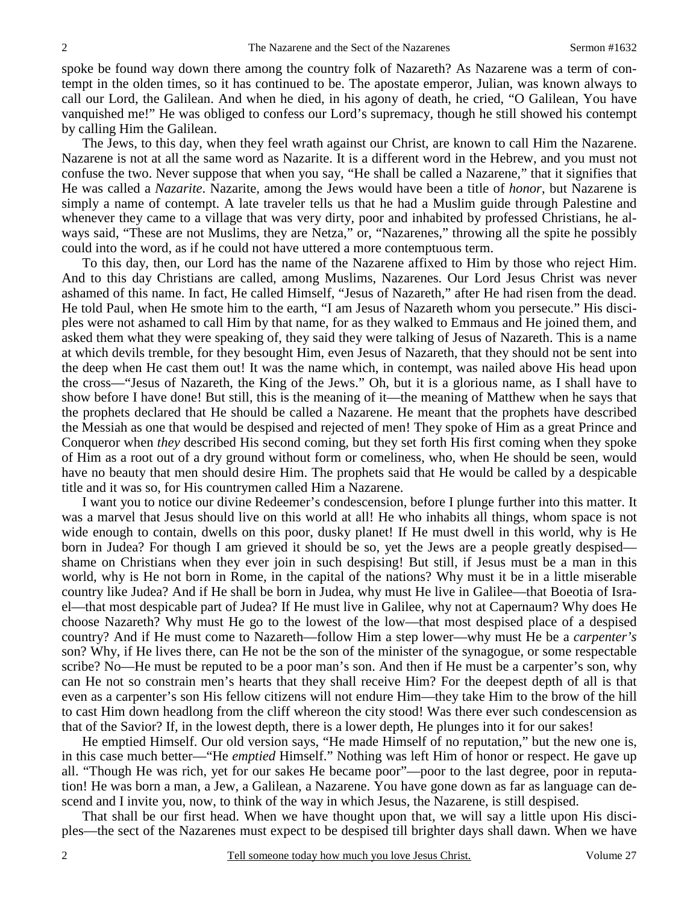spoke be found way down there among the country folk of Nazareth? As Nazarene was a term of contempt in the olden times, so it has continued to be. The apostate emperor, Julian, was known always to call our Lord, the Galilean. And when he died, in his agony of death, he cried, "O Galilean, You have vanquished me!" He was obliged to confess our Lord's supremacy, though he still showed his contempt by calling Him the Galilean.

 The Jews, to this day, when they feel wrath against our Christ, are known to call Him the Nazarene. Nazarene is not at all the same word as Nazarite. It is a different word in the Hebrew, and you must not confuse the two. Never suppose that when you say, "He shall be called a Nazarene," that it signifies that He was called a *Nazarite*. Nazarite, among the Jews would have been a title of *honor*, but Nazarene is simply a name of contempt. A late traveler tells us that he had a Muslim guide through Palestine and whenever they came to a village that was very dirty, poor and inhabited by professed Christians, he always said, "These are not Muslims, they are Netza," or, "Nazarenes," throwing all the spite he possibly could into the word, as if he could not have uttered a more contemptuous term.

 To this day, then, our Lord has the name of the Nazarene affixed to Him by those who reject Him. And to this day Christians are called, among Muslims, Nazarenes. Our Lord Jesus Christ was never ashamed of this name. In fact, He called Himself, "Jesus of Nazareth," after He had risen from the dead. He told Paul, when He smote him to the earth, "I am Jesus of Nazareth whom you persecute." His disciples were not ashamed to call Him by that name, for as they walked to Emmaus and He joined them, and asked them what they were speaking of, they said they were talking of Jesus of Nazareth. This is a name at which devils tremble, for they besought Him, even Jesus of Nazareth, that they should not be sent into the deep when He cast them out! It was the name which, in contempt, was nailed above His head upon the cross—"Jesus of Nazareth, the King of the Jews." Oh, but it is a glorious name, as I shall have to show before I have done! But still, this is the meaning of it—the meaning of Matthew when he says that the prophets declared that He should be called a Nazarene. He meant that the prophets have described the Messiah as one that would be despised and rejected of men! They spoke of Him as a great Prince and Conqueror when *they* described His second coming, but they set forth His first coming when they spoke of Him as a root out of a dry ground without form or comeliness, who, when He should be seen, would have no beauty that men should desire Him. The prophets said that He would be called by a despicable title and it was so, for His countrymen called Him a Nazarene.

 I want you to notice our divine Redeemer's condescension, before I plunge further into this matter. It was a marvel that Jesus should live on this world at all! He who inhabits all things, whom space is not wide enough to contain, dwells on this poor, dusky planet! If He must dwell in this world, why is He born in Judea? For though I am grieved it should be so, yet the Jews are a people greatly despised shame on Christians when they ever join in such despising! But still, if Jesus must be a man in this world, why is He not born in Rome, in the capital of the nations? Why must it be in a little miserable country like Judea? And if He shall be born in Judea, why must He live in Galilee—that Boeotia of Israel—that most despicable part of Judea? If He must live in Galilee, why not at Capernaum? Why does He choose Nazareth? Why must He go to the lowest of the low—that most despised place of a despised country? And if He must come to Nazareth—follow Him a step lower—why must He be a *carpenter's* son? Why, if He lives there, can He not be the son of the minister of the synagogue, or some respectable scribe? No—He must be reputed to be a poor man's son. And then if He must be a carpenter's son, why can He not so constrain men's hearts that they shall receive Him? For the deepest depth of all is that even as a carpenter's son His fellow citizens will not endure Him—they take Him to the brow of the hill to cast Him down headlong from the cliff whereon the city stood! Was there ever such condescension as that of the Savior? If, in the lowest depth, there is a lower depth, He plunges into it for our sakes!

 He emptied Himself. Our old version says, "He made Himself of no reputation," but the new one is, in this case much better—"He *emptied* Himself." Nothing was left Him of honor or respect. He gave up all. "Though He was rich, yet for our sakes He became poor"—poor to the last degree, poor in reputation! He was born a man, a Jew, a Galilean, a Nazarene. You have gone down as far as language can descend and I invite you, now, to think of the way in which Jesus, the Nazarene, is still despised.

 That shall be our first head. When we have thought upon that, we will say a little upon His disciples—the sect of the Nazarenes must expect to be despised till brighter days shall dawn. When we have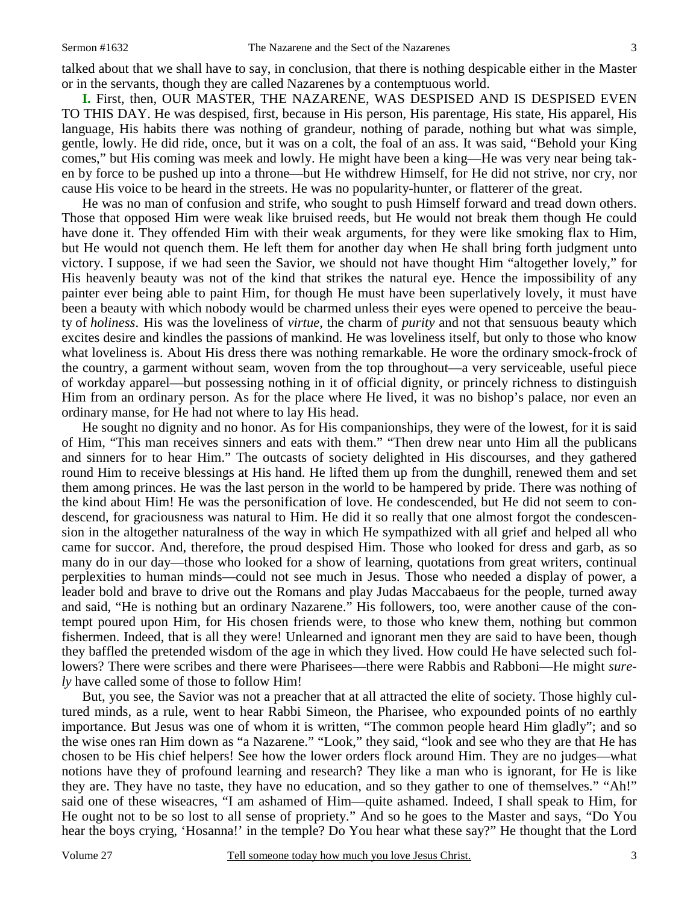talked about that we shall have to say, in conclusion, that there is nothing despicable either in the Master or in the servants, though they are called Nazarenes by a contemptuous world.

**I.** First, then, OUR MASTER, THE NAZARENE, WAS DESPISED AND IS DESPISED EVEN TO THIS DAY. He was despised, first, because in His person, His parentage, His state, His apparel, His language, His habits there was nothing of grandeur, nothing of parade, nothing but what was simple, gentle, lowly. He did ride, once, but it was on a colt, the foal of an ass. It was said, "Behold your King comes," but His coming was meek and lowly. He might have been a king—He was very near being taken by force to be pushed up into a throne—but He withdrew Himself, for He did not strive, nor cry, nor cause His voice to be heard in the streets. He was no popularity-hunter, or flatterer of the great.

 He was no man of confusion and strife, who sought to push Himself forward and tread down others. Those that opposed Him were weak like bruised reeds, but He would not break them though He could have done it. They offended Him with their weak arguments, for they were like smoking flax to Him, but He would not quench them. He left them for another day when He shall bring forth judgment unto victory. I suppose, if we had seen the Savior, we should not have thought Him "altogether lovely," for His heavenly beauty was not of the kind that strikes the natural eye. Hence the impossibility of any painter ever being able to paint Him, for though He must have been superlatively lovely, it must have been a beauty with which nobody would be charmed unless their eyes were opened to perceive the beauty of *holiness*. His was the loveliness of *virtue,* the charm of *purity* and not that sensuous beauty which excites desire and kindles the passions of mankind. He was loveliness itself, but only to those who know what loveliness is. About His dress there was nothing remarkable. He wore the ordinary smock-frock of the country, a garment without seam, woven from the top throughout—a very serviceable, useful piece of workday apparel—but possessing nothing in it of official dignity, or princely richness to distinguish Him from an ordinary person. As for the place where He lived, it was no bishop's palace, nor even an ordinary manse, for He had not where to lay His head.

 He sought no dignity and no honor. As for His companionships, they were of the lowest, for it is said of Him, "This man receives sinners and eats with them." "Then drew near unto Him all the publicans and sinners for to hear Him." The outcasts of society delighted in His discourses, and they gathered round Him to receive blessings at His hand. He lifted them up from the dunghill, renewed them and set them among princes. He was the last person in the world to be hampered by pride. There was nothing of the kind about Him! He was the personification of love. He condescended, but He did not seem to condescend, for graciousness was natural to Him. He did it so really that one almost forgot the condescension in the altogether naturalness of the way in which He sympathized with all grief and helped all who came for succor. And, therefore, the proud despised Him. Those who looked for dress and garb, as so many do in our day—those who looked for a show of learning, quotations from great writers, continual perplexities to human minds—could not see much in Jesus. Those who needed a display of power, a leader bold and brave to drive out the Romans and play Judas Maccabaeus for the people, turned away and said, "He is nothing but an ordinary Nazarene." His followers, too, were another cause of the contempt poured upon Him, for His chosen friends were, to those who knew them, nothing but common fishermen. Indeed, that is all they were! Unlearned and ignorant men they are said to have been, though they baffled the pretended wisdom of the age in which they lived. How could He have selected such followers? There were scribes and there were Pharisees—there were Rabbis and Rabboni—He might *surely* have called some of those to follow Him!

 But, you see, the Savior was not a preacher that at all attracted the elite of society. Those highly cultured minds, as a rule, went to hear Rabbi Simeon, the Pharisee, who expounded points of no earthly importance. But Jesus was one of whom it is written, "The common people heard Him gladly"; and so the wise ones ran Him down as "a Nazarene." "Look," they said, "look and see who they are that He has chosen to be His chief helpers! See how the lower orders flock around Him. They are no judges—what notions have they of profound learning and research? They like a man who is ignorant, for He is like they are. They have no taste, they have no education, and so they gather to one of themselves." "Ah!" said one of these wiseacres, "I am ashamed of Him—quite ashamed. Indeed, I shall speak to Him, for He ought not to be so lost to all sense of propriety." And so he goes to the Master and says, "Do You hear the boys crying, 'Hosanna!' in the temple? Do You hear what these say?" He thought that the Lord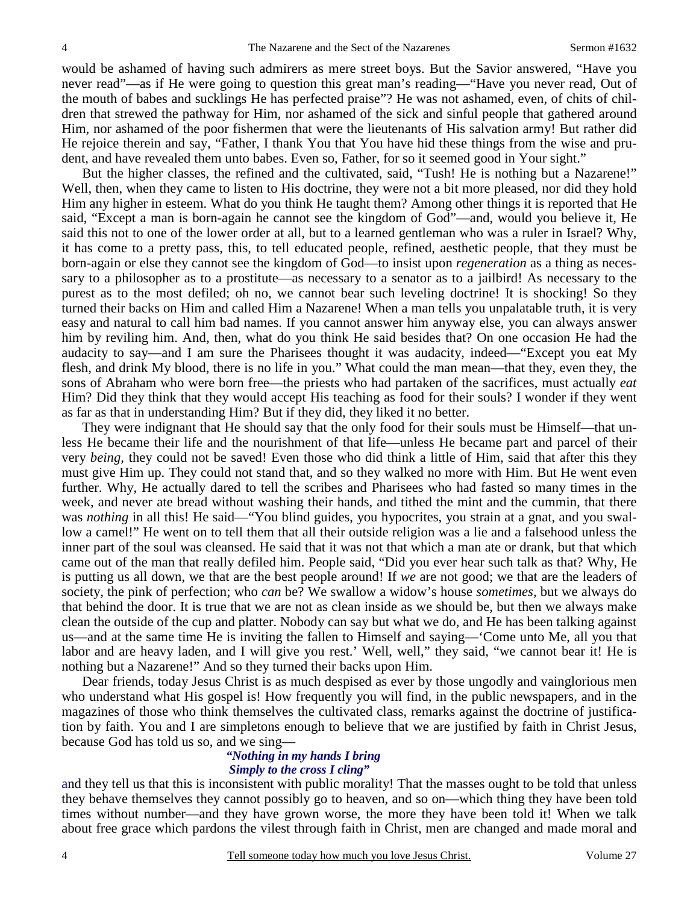would be ashamed of having such admirers as mere street boys. But the Savior answered, "Have you never read"—as if He were going to question this great man's reading—"Have you never read, Out of the mouth of babes and sucklings He has perfected praise"? He was not ashamed, even, of chits of children that strewed the pathway for Him, nor ashamed of the sick and sinful people that gathered around Him, nor ashamed of the poor fishermen that were the lieutenants of His salvation army! But rather did He rejoice therein and say, "Father, I thank You that You have hid these things from the wise and prudent, and have revealed them unto babes. Even so, Father, for so it seemed good in Your sight."

 But the higher classes, the refined and the cultivated, said, "Tush! He is nothing but a Nazarene!" Well, then, when they came to listen to His doctrine, they were not a bit more pleased, nor did they hold Him any higher in esteem. What do you think He taught them? Among other things it is reported that He said, "Except a man is born-again he cannot see the kingdom of God"—and, would you believe it, He said this not to one of the lower order at all, but to a learned gentleman who was a ruler in Israel? Why, it has come to a pretty pass, this, to tell educated people, refined, aesthetic people, that they must be born-again or else they cannot see the kingdom of God—to insist upon *regeneration* as a thing as necessary to a philosopher as to a prostitute—as necessary to a senator as to a jailbird! As necessary to the purest as to the most defiled; oh no, we cannot bear such leveling doctrine! It is shocking! So they turned their backs on Him and called Him a Nazarene! When a man tells you unpalatable truth, it is very easy and natural to call him bad names. If you cannot answer him anyway else, you can always answer him by reviling him. And, then, what do you think He said besides that? On one occasion He had the audacity to say—and I am sure the Pharisees thought it was audacity, indeed—"Except you eat My flesh, and drink My blood, there is no life in you." What could the man mean—that they, even they, the sons of Abraham who were born free—the priests who had partaken of the sacrifices, must actually *eat* Him? Did they think that they would accept His teaching as food for their souls? I wonder if they went as far as that in understanding Him? But if they did, they liked it no better.

 They were indignant that He should say that the only food for their souls must be Himself—that unless He became their life and the nourishment of that life—unless He became part and parcel of their very *being,* they could not be saved! Even those who did think a little of Him, said that after this they must give Him up. They could not stand that, and so they walked no more with Him. But He went even further. Why, He actually dared to tell the scribes and Pharisees who had fasted so many times in the week, and never ate bread without washing their hands, and tithed the mint and the cummin, that there was *nothing* in all this! He said—"You blind guides, you hypocrites, you strain at a gnat, and you swallow a camel!" He went on to tell them that all their outside religion was a lie and a falsehood unless the inner part of the soul was cleansed. He said that it was not that which a man ate or drank, but that which came out of the man that really defiled him. People said, "Did you ever hear such talk as that? Why, He is putting us all down, we that are the best people around! If *we* are not good; we that are the leaders of society, the pink of perfection; who *can* be? We swallow a widow's house *sometimes,* but we always do that behind the door. It is true that we are not as clean inside as we should be, but then we always make clean the outside of the cup and platter. Nobody can say but what we do, and He has been talking against us—and at the same time He is inviting the fallen to Himself and saying—'Come unto Me, all you that labor and are heavy laden, and I will give you rest.' Well, well," they said, "we cannot bear it! He is nothing but a Nazarene!" And so they turned their backs upon Him.

 Dear friends, today Jesus Christ is as much despised as ever by those ungodly and vainglorious men who understand what His gospel is! How frequently you will find, in the public newspapers, and in the magazines of those who think themselves the cultivated class, remarks against the doctrine of justification by faith. You and I are simpletons enough to believe that we are justified by faith in Christ Jesus, because God has told us so, and we sing—

#### *"Nothing in my hands I bring Simply to the cross I cling"*

and they tell us that this is inconsistent with public morality! That the masses ought to be told that unless they behave themselves they cannot possibly go to heaven, and so on—which thing they have been told times without number—and they have grown worse, the more they have been told it! When we talk about free grace which pardons the vilest through faith in Christ, men are changed and made moral and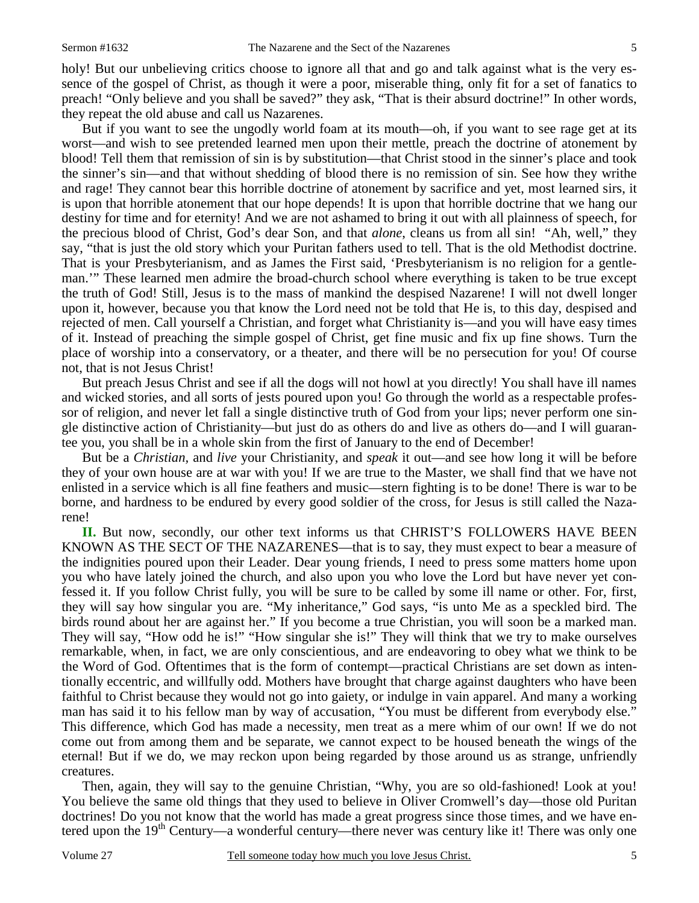holy! But our unbelieving critics choose to ignore all that and go and talk against what is the very essence of the gospel of Christ, as though it were a poor, miserable thing, only fit for a set of fanatics to preach! "Only believe and you shall be saved?" they ask, "That is their absurd doctrine!" In other words, they repeat the old abuse and call us Nazarenes.

 But if you want to see the ungodly world foam at its mouth—oh, if you want to see rage get at its worst—and wish to see pretended learned men upon their mettle, preach the doctrine of atonement by blood! Tell them that remission of sin is by substitution—that Christ stood in the sinner's place and took the sinner's sin—and that without shedding of blood there is no remission of sin. See how they writhe and rage! They cannot bear this horrible doctrine of atonement by sacrifice and yet, most learned sirs, it is upon that horrible atonement that our hope depends! It is upon that horrible doctrine that we hang our destiny for time and for eternity! And we are not ashamed to bring it out with all plainness of speech, for the precious blood of Christ, God's dear Son, and that *alone*, cleans us from all sin! "Ah, well," they say, "that is just the old story which your Puritan fathers used to tell. That is the old Methodist doctrine. That is your Presbyterianism, and as James the First said, 'Presbyterianism is no religion for a gentleman.'" These learned men admire the broad-church school where everything is taken to be true except the truth of God! Still, Jesus is to the mass of mankind the despised Nazarene! I will not dwell longer upon it, however, because you that know the Lord need not be told that He is, to this day, despised and rejected of men. Call yourself a Christian, and forget what Christianity is—and you will have easy times of it. Instead of preaching the simple gospel of Christ, get fine music and fix up fine shows. Turn the place of worship into a conservatory, or a theater, and there will be no persecution for you! Of course not, that is not Jesus Christ!

 But preach Jesus Christ and see if all the dogs will not howl at you directly! You shall have ill names and wicked stories, and all sorts of jests poured upon you! Go through the world as a respectable professor of religion, and never let fall a single distinctive truth of God from your lips; never perform one single distinctive action of Christianity—but just do as others do and live as others do—and I will guarantee you, you shall be in a whole skin from the first of January to the end of December!

 But be a *Christian,* and *live* your Christianity, and *speak* it out—and see how long it will be before they of your own house are at war with you! If we are true to the Master, we shall find that we have not enlisted in a service which is all fine feathers and music—stern fighting is to be done! There is war to be borne, and hardness to be endured by every good soldier of the cross, for Jesus is still called the Nazarene!

II. But now, secondly, our other text informs us that CHRIST'S FOLLOWERS HAVE BEEN KNOWN AS THE SECT OF THE NAZARENES—that is to say, they must expect to bear a measure of the indignities poured upon their Leader. Dear young friends, I need to press some matters home upon you who have lately joined the church, and also upon you who love the Lord but have never yet confessed it. If you follow Christ fully, you will be sure to be called by some ill name or other. For, first, they will say how singular you are. "My inheritance," God says, "is unto Me as a speckled bird. The birds round about her are against her." If you become a true Christian, you will soon be a marked man. They will say, "How odd he is!" "How singular she is!" They will think that we try to make ourselves remarkable, when, in fact, we are only conscientious, and are endeavoring to obey what we think to be the Word of God. Oftentimes that is the form of contempt—practical Christians are set down as intentionally eccentric, and willfully odd. Mothers have brought that charge against daughters who have been faithful to Christ because they would not go into gaiety, or indulge in vain apparel. And many a working man has said it to his fellow man by way of accusation, "You must be different from everybody else." This difference, which God has made a necessity, men treat as a mere whim of our own! If we do not come out from among them and be separate, we cannot expect to be housed beneath the wings of the eternal! But if we do, we may reckon upon being regarded by those around us as strange, unfriendly creatures.

 Then, again, they will say to the genuine Christian, "Why, you are so old-fashioned! Look at you! You believe the same old things that they used to believe in Oliver Cromwell's day—those old Puritan doctrines! Do you not know that the world has made a great progress since those times, and we have entered upon the 19<sup>th</sup> Century—a wonderful century—there never was century like it! There was only one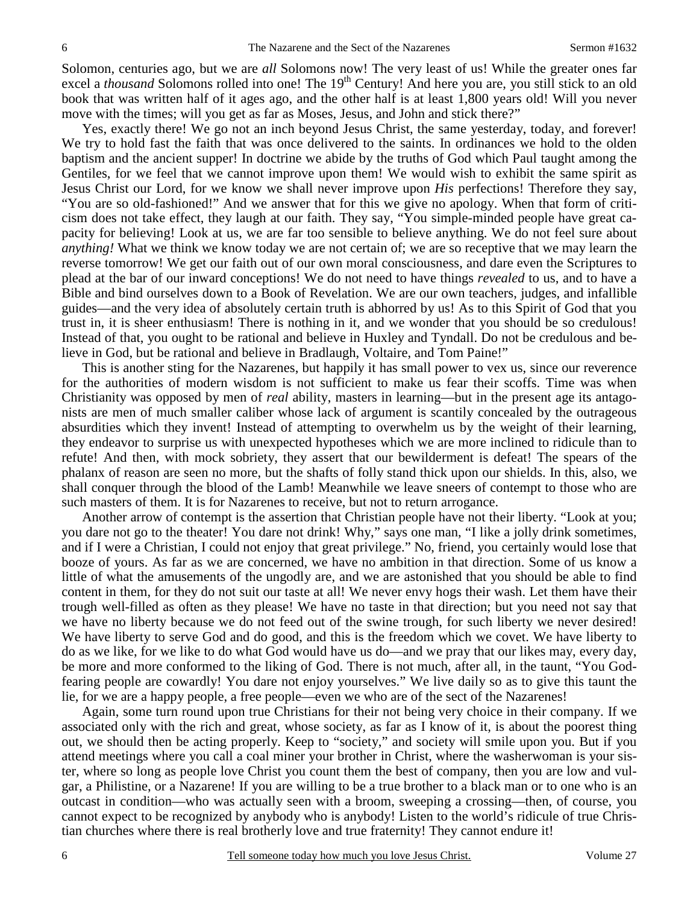Solomon, centuries ago, but we are *all* Solomons now! The very least of us! While the greater ones far excel a *thousand* Solomons rolled into one! The 19<sup>th</sup> Century! And here you are, you still stick to an old book that was written half of it ages ago, and the other half is at least 1,800 years old! Will you never move with the times; will you get as far as Moses, Jesus, and John and stick there?"

 Yes, exactly there! We go not an inch beyond Jesus Christ, the same yesterday, today, and forever! We try to hold fast the faith that was once delivered to the saints. In ordinances we hold to the olden baptism and the ancient supper! In doctrine we abide by the truths of God which Paul taught among the Gentiles, for we feel that we cannot improve upon them! We would wish to exhibit the same spirit as Jesus Christ our Lord, for we know we shall never improve upon *His* perfections! Therefore they say, "You are so old-fashioned!" And we answer that for this we give no apology. When that form of criticism does not take effect, they laugh at our faith. They say, "You simple-minded people have great capacity for believing! Look at us, we are far too sensible to believe anything. We do not feel sure about *anything!* What we think we know today we are not certain of; we are so receptive that we may learn the reverse tomorrow! We get our faith out of our own moral consciousness, and dare even the Scriptures to plead at the bar of our inward conceptions! We do not need to have things *revealed* to us, and to have a Bible and bind ourselves down to a Book of Revelation. We are our own teachers, judges, and infallible guides—and the very idea of absolutely certain truth is abhorred by us! As to this Spirit of God that you trust in, it is sheer enthusiasm! There is nothing in it, and we wonder that you should be so credulous! Instead of that, you ought to be rational and believe in Huxley and Tyndall. Do not be credulous and believe in God, but be rational and believe in Bradlaugh, Voltaire, and Tom Paine!"

 This is another sting for the Nazarenes, but happily it has small power to vex us, since our reverence for the authorities of modern wisdom is not sufficient to make us fear their scoffs. Time was when Christianity was opposed by men of *real* ability, masters in learning—but in the present age its antagonists are men of much smaller caliber whose lack of argument is scantily concealed by the outrageous absurdities which they invent! Instead of attempting to overwhelm us by the weight of their learning, they endeavor to surprise us with unexpected hypotheses which we are more inclined to ridicule than to refute! And then, with mock sobriety, they assert that our bewilderment is defeat! The spears of the phalanx of reason are seen no more, but the shafts of folly stand thick upon our shields. In this, also, we shall conquer through the blood of the Lamb! Meanwhile we leave sneers of contempt to those who are such masters of them. It is for Nazarenes to receive, but not to return arrogance.

 Another arrow of contempt is the assertion that Christian people have not their liberty. "Look at you; you dare not go to the theater! You dare not drink! Why," says one man, "I like a jolly drink sometimes, and if I were a Christian, I could not enjoy that great privilege." No, friend, you certainly would lose that booze of yours. As far as we are concerned, we have no ambition in that direction. Some of us know a little of what the amusements of the ungodly are, and we are astonished that you should be able to find content in them, for they do not suit our taste at all! We never envy hogs their wash. Let them have their trough well-filled as often as they please! We have no taste in that direction; but you need not say that we have no liberty because we do not feed out of the swine trough, for such liberty we never desired! We have liberty to serve God and do good, and this is the freedom which we covet. We have liberty to do as we like, for we like to do what God would have us do—and we pray that our likes may, every day, be more and more conformed to the liking of God. There is not much, after all, in the taunt, "You Godfearing people are cowardly! You dare not enjoy yourselves." We live daily so as to give this taunt the lie, for we are a happy people, a free people—even we who are of the sect of the Nazarenes!

 Again, some turn round upon true Christians for their not being very choice in their company. If we associated only with the rich and great, whose society, as far as I know of it, is about the poorest thing out, we should then be acting properly. Keep to "society," and society will smile upon you. But if you attend meetings where you call a coal miner your brother in Christ, where the washerwoman is your sister, where so long as people love Christ you count them the best of company, then you are low and vulgar, a Philistine, or a Nazarene! If you are willing to be a true brother to a black man or to one who is an outcast in condition—who was actually seen with a broom, sweeping a crossing—then, of course, you cannot expect to be recognized by anybody who is anybody! Listen to the world's ridicule of true Christian churches where there is real brotherly love and true fraternity! They cannot endure it!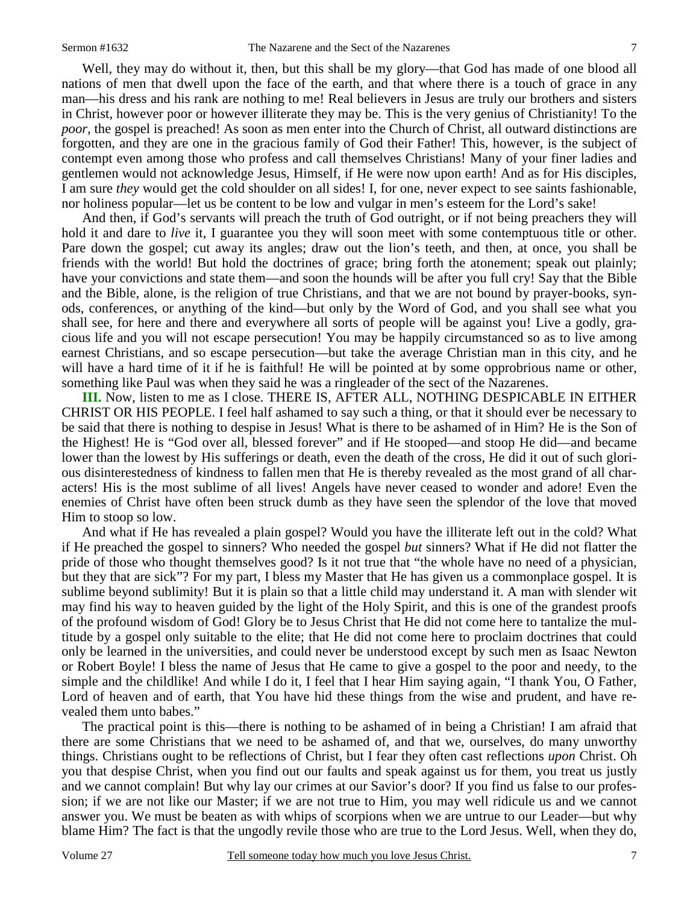Well, they may do without it, then, but this shall be my glory—that God has made of one blood all nations of men that dwell upon the face of the earth, and that where there is a touch of grace in any man—his dress and his rank are nothing to me! Real believers in Jesus are truly our brothers and sisters in Christ, however poor or however illiterate they may be. This is the very genius of Christianity! To the *poor,* the gospel is preached! As soon as men enter into the Church of Christ, all outward distinctions are forgotten, and they are one in the gracious family of God their Father! This, however, is the subject of contempt even among those who profess and call themselves Christians! Many of your finer ladies and gentlemen would not acknowledge Jesus, Himself, if He were now upon earth! And as for His disciples, I am sure *they* would get the cold shoulder on all sides! I, for one, never expect to see saints fashionable, nor holiness popular—let us be content to be low and vulgar in men's esteem for the Lord's sake!

 And then, if God's servants will preach the truth of God outright, or if not being preachers they will hold it and dare to *live* it, I guarantee you they will soon meet with some contemptuous title or other. Pare down the gospel; cut away its angles; draw out the lion's teeth, and then, at once, you shall be friends with the world! But hold the doctrines of grace; bring forth the atonement; speak out plainly; have your convictions and state them—and soon the hounds will be after you full cry! Say that the Bible and the Bible, alone, is the religion of true Christians, and that we are not bound by prayer-books, synods, conferences, or anything of the kind—but only by the Word of God, and you shall see what you shall see, for here and there and everywhere all sorts of people will be against you! Live a godly, gracious life and you will not escape persecution! You may be happily circumstanced so as to live among earnest Christians, and so escape persecution—but take the average Christian man in this city, and he will have a hard time of it if he is faithful! He will be pointed at by some opprobrious name or other, something like Paul was when they said he was a ringleader of the sect of the Nazarenes.

**III.** Now, listen to me as I close. THERE IS, AFTER ALL, NOTHING DESPICABLE IN EITHER CHRIST OR HIS PEOPLE. I feel half ashamed to say such a thing, or that it should ever be necessary to be said that there is nothing to despise in Jesus! What is there to be ashamed of in Him? He is the Son of the Highest! He is "God over all, blessed forever" and if He stooped—and stoop He did—and became lower than the lowest by His sufferings or death, even the death of the cross, He did it out of such glorious disinterestedness of kindness to fallen men that He is thereby revealed as the most grand of all characters! His is the most sublime of all lives! Angels have never ceased to wonder and adore! Even the enemies of Christ have often been struck dumb as they have seen the splendor of the love that moved Him to stoop so low.

 And what if He has revealed a plain gospel? Would you have the illiterate left out in the cold? What if He preached the gospel to sinners? Who needed the gospel *but* sinners? What if He did not flatter the pride of those who thought themselves good? Is it not true that "the whole have no need of a physician, but they that are sick"? For my part, I bless my Master that He has given us a commonplace gospel. It is sublime beyond sublimity! But it is plain so that a little child may understand it. A man with slender wit may find his way to heaven guided by the light of the Holy Spirit, and this is one of the grandest proofs of the profound wisdom of God! Glory be to Jesus Christ that He did not come here to tantalize the multitude by a gospel only suitable to the elite; that He did not come here to proclaim doctrines that could only be learned in the universities, and could never be understood except by such men as Isaac Newton or Robert Boyle! I bless the name of Jesus that He came to give a gospel to the poor and needy, to the simple and the childlike! And while I do it, I feel that I hear Him saying again, "I thank You, O Father, Lord of heaven and of earth, that You have hid these things from the wise and prudent, and have revealed them unto babes."

 The practical point is this—there is nothing to be ashamed of in being a Christian! I am afraid that there are some Christians that we need to be ashamed of, and that we, ourselves, do many unworthy things. Christians ought to be reflections of Christ, but I fear they often cast reflections *upon* Christ. Oh you that despise Christ, when you find out our faults and speak against us for them, you treat us justly and we cannot complain! But why lay our crimes at our Savior's door? If you find us false to our profession; if we are not like our Master; if we are not true to Him, you may well ridicule us and we cannot answer you. We must be beaten as with whips of scorpions when we are untrue to our Leader—but why blame Him? The fact is that the ungodly revile those who are true to the Lord Jesus. Well, when they do,